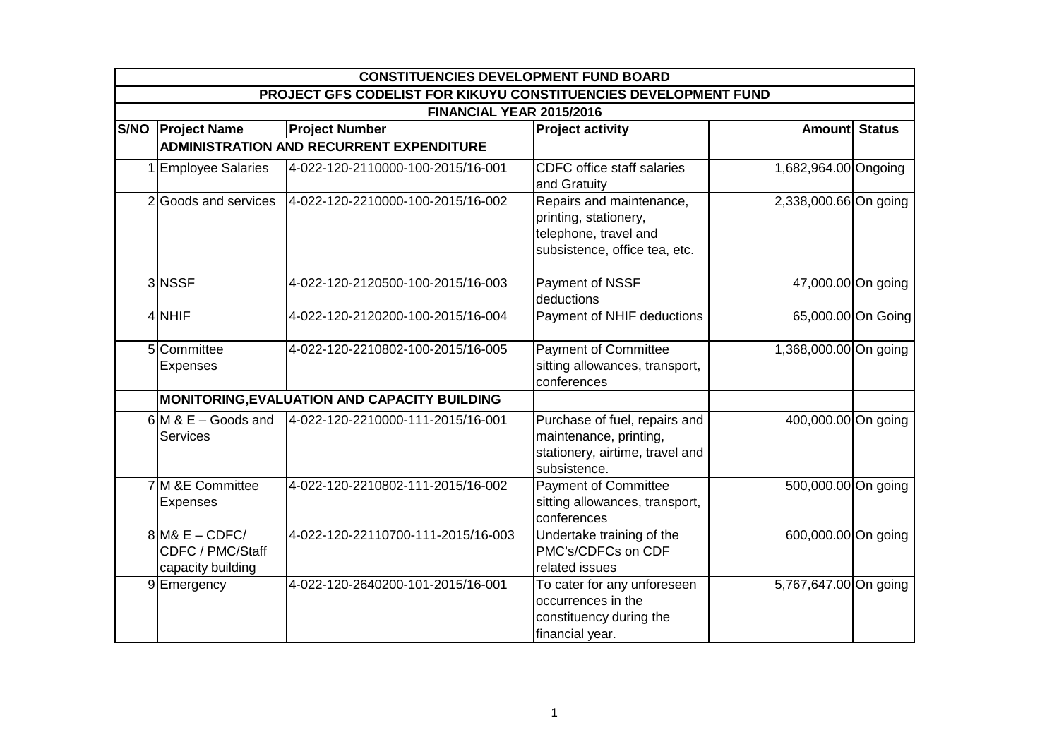| <b>CONSTITUENCIES DEVELOPMENT FUND BOARD</b>                    |                                                 |                                                                                                             |                       |                    |  |  |
|-----------------------------------------------------------------|-------------------------------------------------|-------------------------------------------------------------------------------------------------------------|-----------------------|--------------------|--|--|
| PROJECT GFS CODELIST FOR KIKUYU CONSTITUENCIES DEVELOPMENT FUND |                                                 |                                                                                                             |                       |                    |  |  |
| FINANCIAL YEAR 2015/2016                                        |                                                 |                                                                                                             |                       |                    |  |  |
| S/NO   Project Name                                             | <b>Project Number</b>                           | <b>Project activity</b>                                                                                     | <b>Amount</b> Status  |                    |  |  |
|                                                                 | <b>ADMINISTRATION AND RECURRENT EXPENDITURE</b> |                                                                                                             |                       |                    |  |  |
| <b>Employee Salaries</b>                                        | 4-022-120-2110000-100-2015/16-001               | <b>CDFC</b> office staff salaries<br>and Gratuity                                                           | 1,682,964.00 Ongoing  |                    |  |  |
| 2 Goods and services                                            | 4-022-120-2210000-100-2015/16-002               | Repairs and maintenance,<br>printing, stationery,<br>telephone, travel and<br>subsistence, office tea, etc. | 2,338,000.66 On going |                    |  |  |
| 3NSSF                                                           | 4-022-120-2120500-100-2015/16-003               | Payment of NSSF<br>deductions                                                                               | 47,000.00 On going    |                    |  |  |
| 4 NHIF                                                          | 4-022-120-2120200-100-2015/16-004               | Payment of NHIF deductions                                                                                  |                       | 65,000.00 On Going |  |  |
| 5 Committee<br>Expenses                                         | 4-022-120-2210802-100-2015/16-005               | <b>Payment of Committee</b><br>sitting allowances, transport,<br>conferences                                | 1,368,000.00 On going |                    |  |  |
|                                                                 | MONITORING, EVALUATION AND CAPACITY BUILDING    |                                                                                                             |                       |                    |  |  |
| $6$ M & E – Goods and<br><b>Services</b>                        | 4-022-120-2210000-111-2015/16-001               | Purchase of fuel, repairs and<br>maintenance, printing,<br>stationery, airtime, travel and<br>subsistence.  | 400,000.00 On going   |                    |  |  |
| 7 <sup>M</sup> & E Committee<br>Expenses                        | 4-022-120-2210802-111-2015/16-002               | <b>Payment of Committee</b><br>sitting allowances, transport,<br>conferences                                | 500,000.00 On going   |                    |  |  |
| $8$ M& E – CDFC/<br>CDFC / PMC/Staff<br>capacity building       | 4-022-120-22110700-111-2015/16-003              | Undertake training of the<br>PMC's/CDFCs on CDF<br>related issues                                           | 600,000.00 On going   |                    |  |  |
| 9 Emergency                                                     | 4-022-120-2640200-101-2015/16-001               | To cater for any unforeseen<br>occurrences in the<br>constituency during the<br>financial year.             | 5,767,647.00 On going |                    |  |  |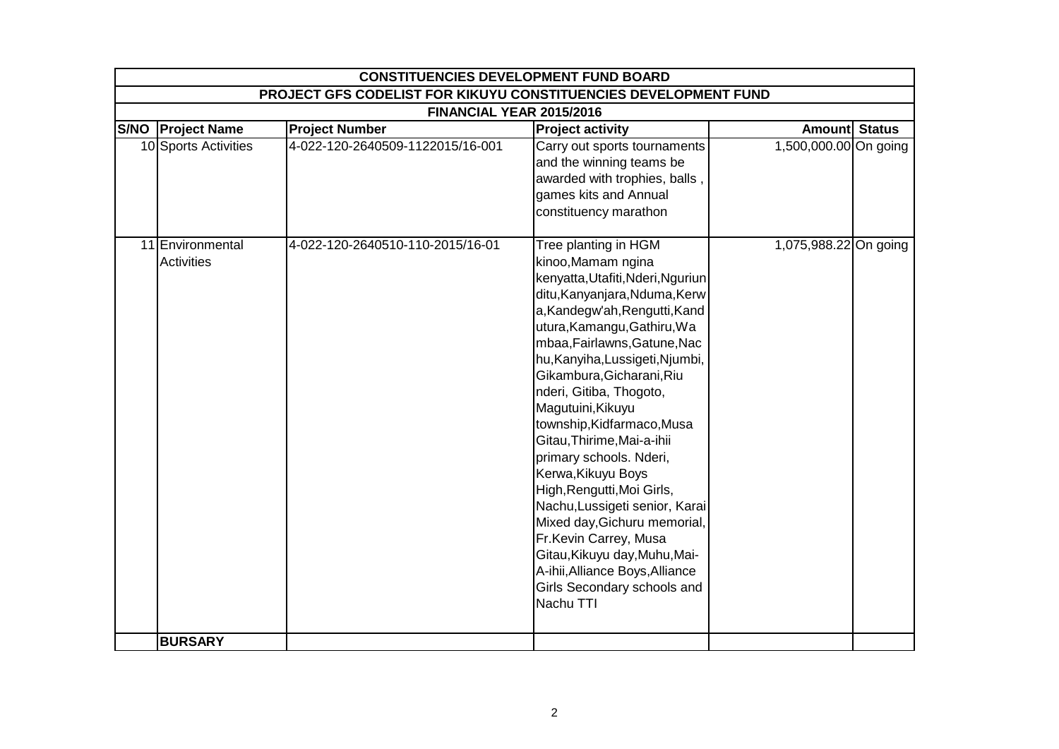| <b>CONSTITUENCIES DEVELOPMENT FUND BOARD</b>                    |                                  |                                                                                                                                                                                                                                                                                                                                                                                                                                                                                                                                                                                                                                                                                        |                       |  |  |  |
|-----------------------------------------------------------------|----------------------------------|----------------------------------------------------------------------------------------------------------------------------------------------------------------------------------------------------------------------------------------------------------------------------------------------------------------------------------------------------------------------------------------------------------------------------------------------------------------------------------------------------------------------------------------------------------------------------------------------------------------------------------------------------------------------------------------|-----------------------|--|--|--|
| PROJECT GFS CODELIST FOR KIKUYU CONSTITUENCIES DEVELOPMENT FUND |                                  |                                                                                                                                                                                                                                                                                                                                                                                                                                                                                                                                                                                                                                                                                        |                       |  |  |  |
|                                                                 | FINANCIAL YEAR 2015/2016         |                                                                                                                                                                                                                                                                                                                                                                                                                                                                                                                                                                                                                                                                                        |                       |  |  |  |
| S/NO   Project Name                                             | <b>Project Number</b>            | <b>Project activity</b>                                                                                                                                                                                                                                                                                                                                                                                                                                                                                                                                                                                                                                                                | Amount Status         |  |  |  |
| 10 Sports Activities                                            | 4-022-120-2640509-1122015/16-001 | Carry out sports tournaments<br>and the winning teams be<br>awarded with trophies, balls,<br>games kits and Annual<br>constituency marathon                                                                                                                                                                                                                                                                                                                                                                                                                                                                                                                                            | 1,500,000.00 On going |  |  |  |
| 11 Environmental<br><b>Activities</b>                           | 4-022-120-2640510-110-2015/16-01 | Tree planting in HGM<br>kinoo, Mamam ngina<br>kenyatta, Utafiti, Nderi, Nguriun<br>ditu, Kanyanjara, Nduma, Kerw<br>a, Kandegw'ah, Rengutti, Kand<br>utura, Kamangu, Gathiru, Wa<br>mbaa, Fairlawns, Gatune, Nac<br>hu, Kanyiha, Lussigeti, Njumbi,<br>Gikambura, Gicharani, Riu<br>nderi, Gitiba, Thogoto,<br>Magutuini, Kikuyu<br>township, Kidfarmaco, Musa<br>Gitau, Thirime, Mai-a-ihii<br>primary schools. Nderi,<br>Kerwa, Kikuyu Boys<br>High, Rengutti, Moi Girls,<br>Nachu, Lussigeti senior, Karai<br>Mixed day, Gichuru memorial,<br>Fr.Kevin Carrey, Musa<br>Gitau, Kikuyu day, Muhu, Mai-<br>A-ihii, Alliance Boys, Alliance<br>Girls Secondary schools and<br>Nachu TTI | 1,075,988.22 On going |  |  |  |
| <b>BURSARY</b>                                                  |                                  |                                                                                                                                                                                                                                                                                                                                                                                                                                                                                                                                                                                                                                                                                        |                       |  |  |  |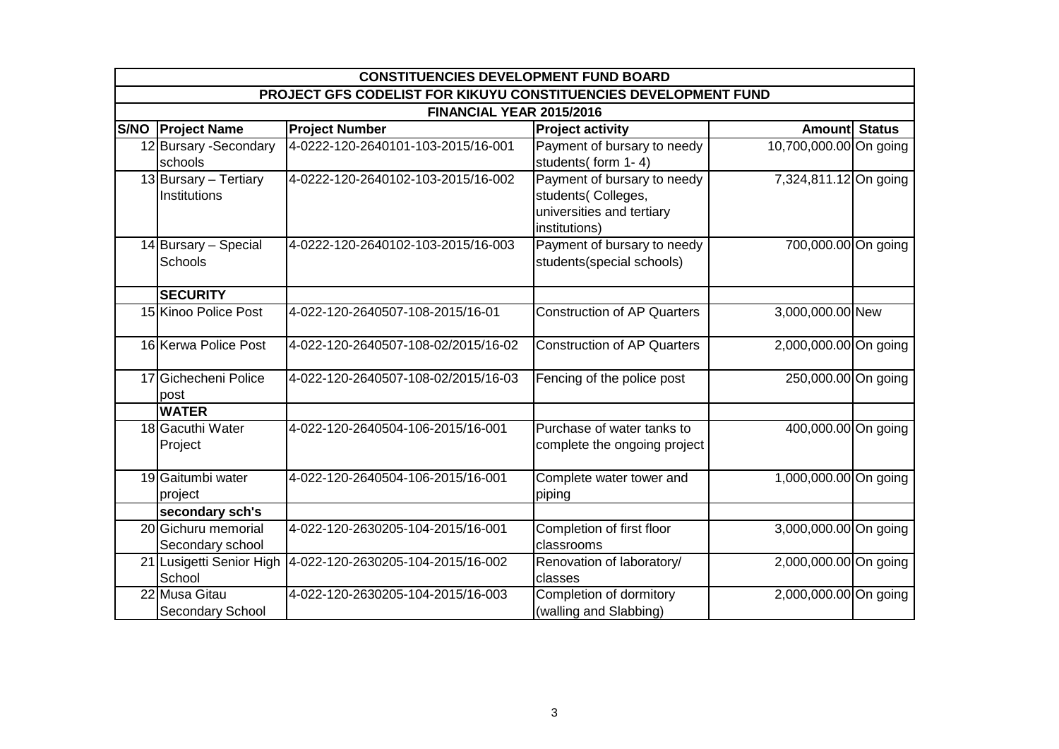| <b>CONSTITUENCIES DEVELOPMENT FUND BOARD</b>                    |                                     |                                                                                                 |                        |  |  |  |
|-----------------------------------------------------------------|-------------------------------------|-------------------------------------------------------------------------------------------------|------------------------|--|--|--|
| PROJECT GFS CODELIST FOR KIKUYU CONSTITUENCIES DEVELOPMENT FUND |                                     |                                                                                                 |                        |  |  |  |
| FINANCIAL YEAR 2015/2016                                        |                                     |                                                                                                 |                        |  |  |  |
| <b>S/NO Project Name</b>                                        | <b>Project Number</b>               | <b>Project activity</b>                                                                         | Amount Status          |  |  |  |
| 12 Bursary - Secondary<br>schools                               | 4-0222-120-2640101-103-2015/16-001  | Payment of bursary to needy<br>students(form 1-4)                                               | 10,700,000.00 On going |  |  |  |
| 13 Bursary - Tertiary<br>Institutions                           | 4-0222-120-2640102-103-2015/16-002  | Payment of bursary to needy<br>students(Colleges,<br>universities and tertiary<br>institutions) | 7,324,811.12 On going  |  |  |  |
| $14$ Bursary – Special<br>Schools                               | 4-0222-120-2640102-103-2015/16-003  | Payment of bursary to needy<br>students(special schools)                                        | 700,000.00 On going    |  |  |  |
| <b>SECURITY</b>                                                 |                                     |                                                                                                 |                        |  |  |  |
| 15 Kinoo Police Post                                            | 4-022-120-2640507-108-2015/16-01    | <b>Construction of AP Quarters</b>                                                              | 3,000,000.00 New       |  |  |  |
| 16 Kerwa Police Post                                            | 4-022-120-2640507-108-02/2015/16-02 | <b>Construction of AP Quarters</b>                                                              | 2,000,000.00 On going  |  |  |  |
| 17 Gichecheni Police<br>post                                    | 4-022-120-2640507-108-02/2015/16-03 | Fencing of the police post                                                                      | 250,000.00 On going    |  |  |  |
| <b>WATER</b>                                                    |                                     |                                                                                                 |                        |  |  |  |
| 18 Gacuthi Water<br>Project                                     | 4-022-120-2640504-106-2015/16-001   | Purchase of water tanks to<br>complete the ongoing project                                      | 400,000.00 On going    |  |  |  |
| 19 Gaitumbi water<br>project                                    | 4-022-120-2640504-106-2015/16-001   | Complete water tower and<br>piping                                                              | 1,000,000.00 On going  |  |  |  |
| secondary sch's                                                 |                                     |                                                                                                 |                        |  |  |  |
| 20 Gichuru memorial<br>Secondary school                         | 4-022-120-2630205-104-2015/16-001   | Completion of first floor<br>classrooms                                                         | 3,000,000.00 On going  |  |  |  |
| 21 Lusigetti Senior High<br>School                              | 4-022-120-2630205-104-2015/16-002   | Renovation of laboratory/<br>classes                                                            | 2,000,000.00 On going  |  |  |  |
| 22 Musa Gitau<br><b>Secondary School</b>                        | 4-022-120-2630205-104-2015/16-003   | Completion of dormitory<br>(walling and Slabbing)                                               | 2,000,000.00 On going  |  |  |  |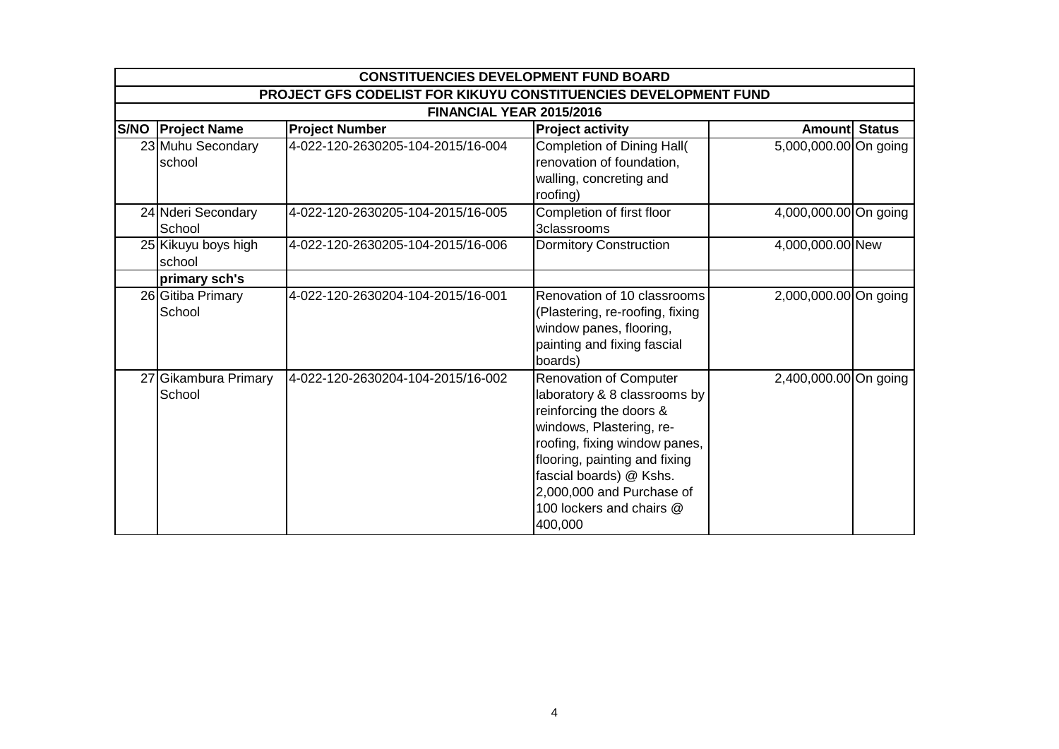| <b>CONSTITUENCIES DEVELOPMENT FUND BOARD</b>                    |                                   |                                                                                                                                                                                                                                                                                       |                       |  |  |  |
|-----------------------------------------------------------------|-----------------------------------|---------------------------------------------------------------------------------------------------------------------------------------------------------------------------------------------------------------------------------------------------------------------------------------|-----------------------|--|--|--|
| PROJECT GFS CODELIST FOR KIKUYU CONSTITUENCIES DEVELOPMENT FUND |                                   |                                                                                                                                                                                                                                                                                       |                       |  |  |  |
| FINANCIAL YEAR 2015/2016                                        |                                   |                                                                                                                                                                                                                                                                                       |                       |  |  |  |
| <b>S/NO Project Name</b>                                        | <b>Project Number</b>             | <b>Project activity</b>                                                                                                                                                                                                                                                               | Amount Status         |  |  |  |
| 23 Muhu Secondary<br>school                                     | 4-022-120-2630205-104-2015/16-004 | Completion of Dining Hall(<br>renovation of foundation,<br>walling, concreting and<br>roofing)                                                                                                                                                                                        | 5,000,000.00 On going |  |  |  |
| 24 Nderi Secondary<br>School                                    | 4-022-120-2630205-104-2015/16-005 | Completion of first floor<br>3classrooms                                                                                                                                                                                                                                              | 4,000,000.00 On going |  |  |  |
| 25 Kikuyu boys high<br>school                                   | 4-022-120-2630205-104-2015/16-006 | <b>Dormitory Construction</b>                                                                                                                                                                                                                                                         | 4,000,000.00 New      |  |  |  |
| primary sch's                                                   |                                   |                                                                                                                                                                                                                                                                                       |                       |  |  |  |
| 26 Gitiba Primary<br>School                                     | 4-022-120-2630204-104-2015/16-001 | Renovation of 10 classrooms<br>(Plastering, re-roofing, fixing<br>window panes, flooring,<br>painting and fixing fascial<br>boards)                                                                                                                                                   | 2,000,000.00 On going |  |  |  |
| 27 Gikambura Primary<br>School                                  | 4-022-120-2630204-104-2015/16-002 | <b>Renovation of Computer</b><br>laboratory & 8 classrooms by<br>reinforcing the doors &<br>windows, Plastering, re-<br>roofing, fixing window panes,<br>flooring, painting and fixing<br>fascial boards) @ Kshs.<br>2,000,000 and Purchase of<br>100 lockers and chairs @<br>400,000 | 2,400,000.00 On going |  |  |  |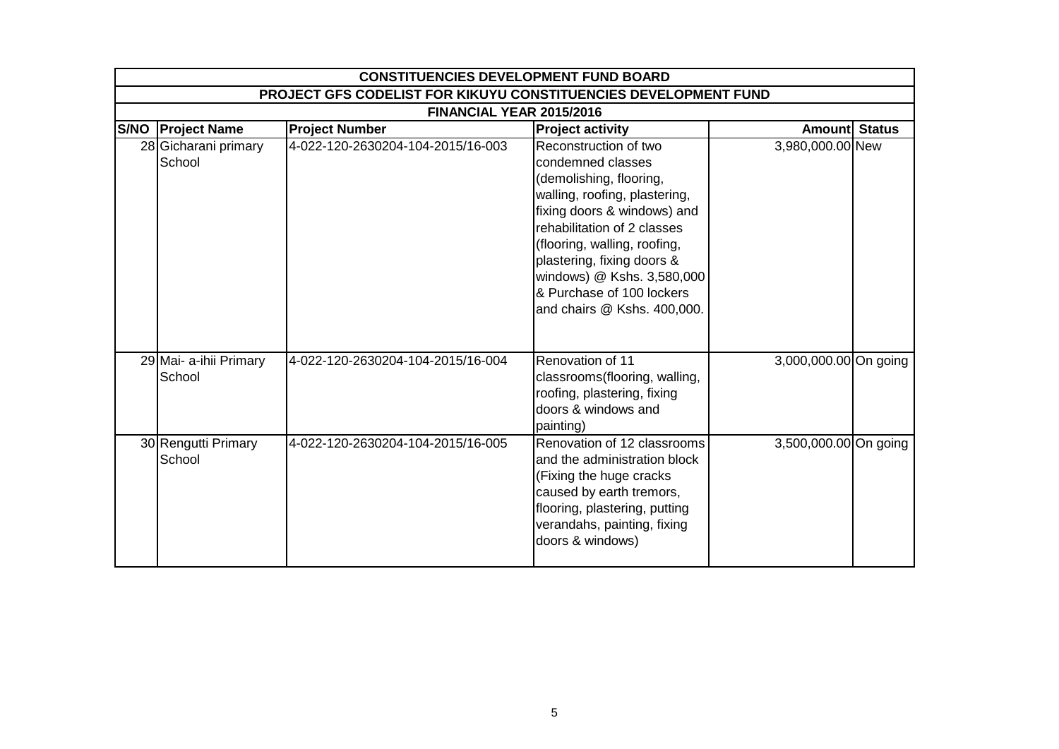| <b>CONSTITUENCIES DEVELOPMENT FUND BOARD</b>                           |                                   |                                                                                                                                                                                                                                                                                                                              |                       |  |  |  |
|------------------------------------------------------------------------|-----------------------------------|------------------------------------------------------------------------------------------------------------------------------------------------------------------------------------------------------------------------------------------------------------------------------------------------------------------------------|-----------------------|--|--|--|
| <b>PROJECT GFS CODELIST FOR KIKUYU CONSTITUENCIES DEVELOPMENT FUND</b> |                                   |                                                                                                                                                                                                                                                                                                                              |                       |  |  |  |
| FINANCIAL YEAR 2015/2016                                               |                                   |                                                                                                                                                                                                                                                                                                                              |                       |  |  |  |
| <b>S/NO Project Name</b>                                               | <b>Project Number</b>             | <b>Project activity</b>                                                                                                                                                                                                                                                                                                      | Amount Status         |  |  |  |
| 28 Gicharani primary<br>School                                         | 4-022-120-2630204-104-2015/16-003 | Reconstruction of two<br>condemned classes<br>(demolishing, flooring,<br>walling, roofing, plastering,<br>fixing doors & windows) and<br>rehabilitation of 2 classes<br>(flooring, walling, roofing,<br>plastering, fixing doors &<br>windows) @ Kshs. 3,580,000<br>& Purchase of 100 lockers<br>and chairs @ Kshs. 400,000. | 3,980,000.00 New      |  |  |  |
| 29 Mai- a-ihii Primary<br>School                                       | 4-022-120-2630204-104-2015/16-004 | Renovation of 11<br>classrooms(flooring, walling,<br>roofing, plastering, fixing<br>doors & windows and<br>painting)                                                                                                                                                                                                         | 3,000,000.00 On going |  |  |  |
| 30 Rengutti Primary<br>School                                          | 4-022-120-2630204-104-2015/16-005 | Renovation of 12 classrooms<br>and the administration block<br>(Fixing the huge cracks)<br>caused by earth tremors,<br>flooring, plastering, putting<br>verandahs, painting, fixing<br>doors & windows)                                                                                                                      | 3,500,000.00 On going |  |  |  |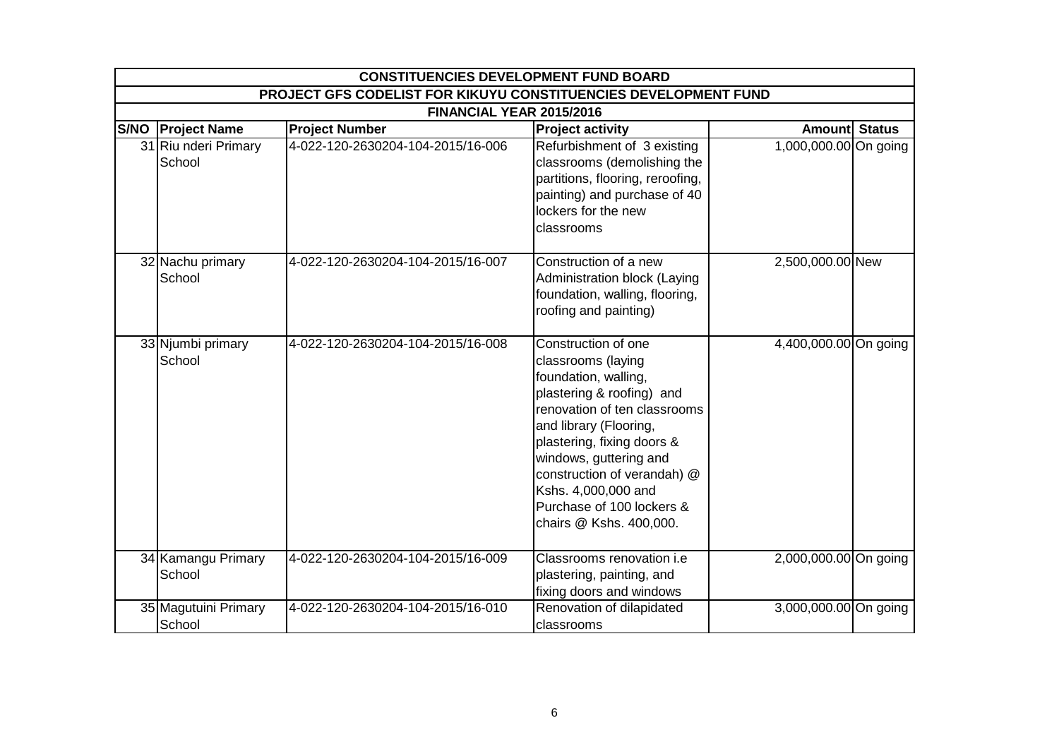| <b>CONSTITUENCIES DEVELOPMENT FUND BOARD</b>                    |                                   |                                                                                                                                                                                                                                                                                                                                |                       |  |  |  |
|-----------------------------------------------------------------|-----------------------------------|--------------------------------------------------------------------------------------------------------------------------------------------------------------------------------------------------------------------------------------------------------------------------------------------------------------------------------|-----------------------|--|--|--|
| PROJECT GFS CODELIST FOR KIKUYU CONSTITUENCIES DEVELOPMENT FUND |                                   |                                                                                                                                                                                                                                                                                                                                |                       |  |  |  |
|                                                                 | FINANCIAL YEAR 2015/2016          |                                                                                                                                                                                                                                                                                                                                |                       |  |  |  |
| <b>S/NO Project Name</b>                                        | <b>Project Number</b>             | <b>Project activity</b>                                                                                                                                                                                                                                                                                                        | <b>Amount Status</b>  |  |  |  |
| 31 Riu nderi Primary<br>School                                  | 4-022-120-2630204-104-2015/16-006 | Refurbishment of 3 existing<br>classrooms (demolishing the<br>partitions, flooring, reroofing,<br>painting) and purchase of 40<br>lockers for the new<br>classrooms                                                                                                                                                            | 1,000,000.00 On going |  |  |  |
| 32 Nachu primary<br>School                                      | 4-022-120-2630204-104-2015/16-007 | Construction of a new<br>Administration block (Laying<br>foundation, walling, flooring,<br>roofing and painting)                                                                                                                                                                                                               | 2,500,000.00 New      |  |  |  |
| 33 Njumbi primary<br>School                                     | 4-022-120-2630204-104-2015/16-008 | Construction of one<br>classrooms (laying<br>foundation, walling,<br>plastering & roofing) and<br>renovation of ten classrooms<br>and library (Flooring,<br>plastering, fixing doors &<br>windows, guttering and<br>construction of verandah) @<br>Kshs. 4,000,000 and<br>Purchase of 100 lockers &<br>chairs @ Kshs. 400,000. | 4,400,000.00 On going |  |  |  |
| 34 Kamangu Primary<br>School                                    | 4-022-120-2630204-104-2015/16-009 | Classrooms renovation i.e<br>plastering, painting, and<br>fixing doors and windows                                                                                                                                                                                                                                             | 2,000,000.00 On going |  |  |  |
| 35 Magutuini Primary<br>School                                  | 4-022-120-2630204-104-2015/16-010 | Renovation of dilapidated<br>classrooms                                                                                                                                                                                                                                                                                        | 3,000,000.00 On going |  |  |  |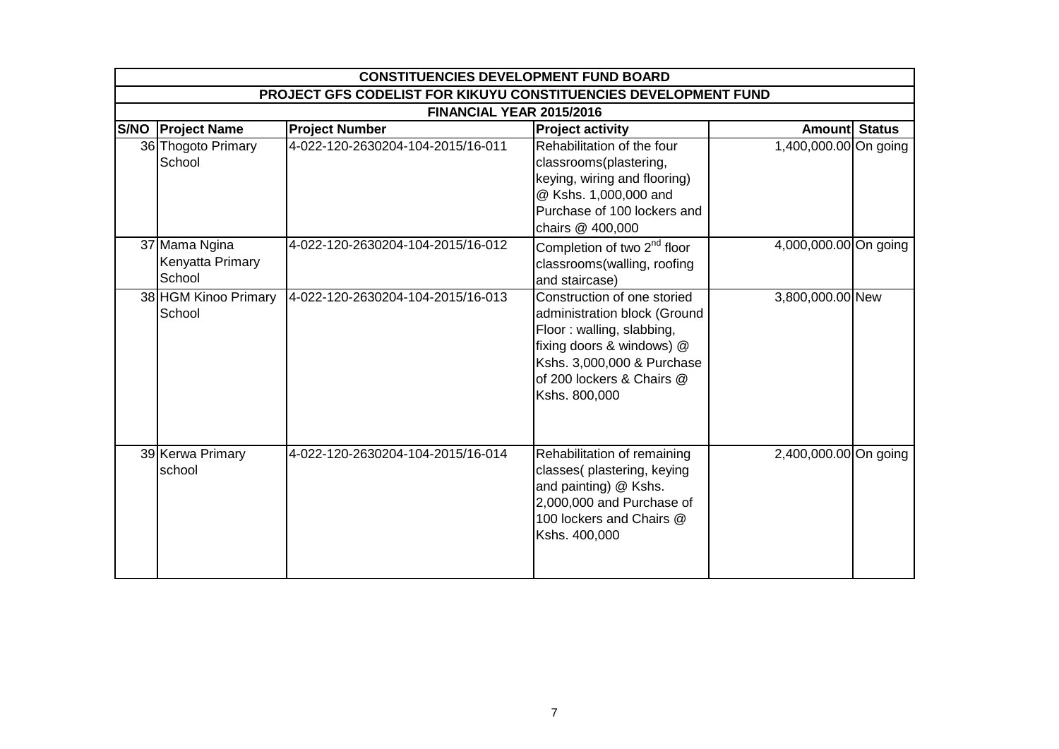| <b>CONSTITUENCIES DEVELOPMENT FUND BOARD</b>                    |                                   |                                                                                                                                                                                                   |                       |  |  |  |
|-----------------------------------------------------------------|-----------------------------------|---------------------------------------------------------------------------------------------------------------------------------------------------------------------------------------------------|-----------------------|--|--|--|
| PROJECT GFS CODELIST FOR KIKUYU CONSTITUENCIES DEVELOPMENT FUND |                                   |                                                                                                                                                                                                   |                       |  |  |  |
| FINANCIAL YEAR 2015/2016                                        |                                   |                                                                                                                                                                                                   |                       |  |  |  |
| S/NO   Project Name                                             | <b>Project Number</b>             | <b>Project activity</b>                                                                                                                                                                           | Amount Status         |  |  |  |
| 36 Thogoto Primary<br>School                                    | 4-022-120-2630204-104-2015/16-011 | Rehabilitation of the four<br>classrooms(plastering,<br>keying, wiring and flooring)<br>@ Kshs. 1,000,000 and<br>Purchase of 100 lockers and<br>chairs @ 400,000                                  | 1,400,000.00 On going |  |  |  |
| 37 Mama Ngina<br>Kenyatta Primary<br>School                     | 4-022-120-2630204-104-2015/16-012 | Completion of two 2 <sup>nd</sup> floor<br>classrooms(walling, roofing<br>and staircase)                                                                                                          | 4,000,000.00 On going |  |  |  |
| 38 HGM Kinoo Primary<br>School                                  | 4-022-120-2630204-104-2015/16-013 | Construction of one storied<br>administration block (Ground<br>Floor: walling, slabbing,<br>fixing doors & windows) @<br>Kshs. 3,000,000 & Purchase<br>of 200 lockers & Chairs @<br>Kshs. 800,000 | 3,800,000.00 New      |  |  |  |
| 39 Kerwa Primary<br>school                                      | 4-022-120-2630204-104-2015/16-014 | Rehabilitation of remaining<br>classes(plastering, keying<br>and painting) @ Kshs.<br>2,000,000 and Purchase of<br>100 lockers and Chairs @<br>Kshs. 400,000                                      | 2,400,000.00 On going |  |  |  |